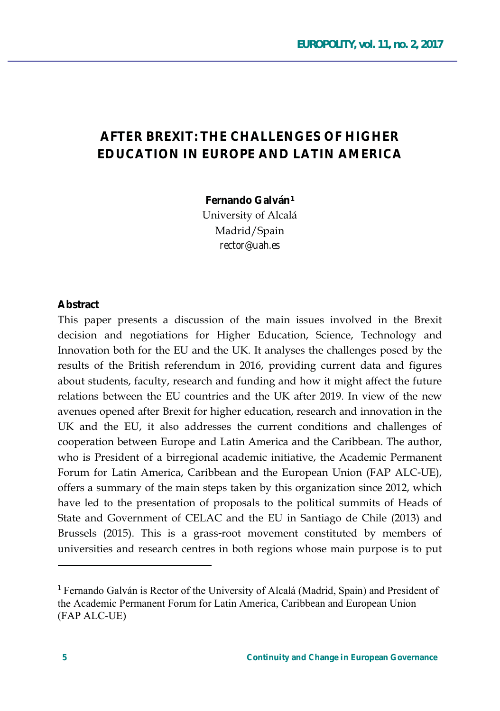## **AFTER BREXIT: THE CHALLENGES OF HIGHER FDUCATION IN FUROPE AND LATIN AMFRICA**

Fernando Galván<sup>1</sup>

University of Alcalá Madrid/Spain rector@uah.es

## Abstract

This paper presents a discussion of the main issues involved in the Brexit decision and negotiations for Higher Education, Science, Technology and Innovation both for the EU and the UK. It analyses the challenges posed by the results of the British referendum in 2016, providing current data and figures about students, faculty, research and funding and how it might affect the future relations between the EU countries and the UK after 2019. In view of the new avenues opened after Brexit for higher education, research and innovation in the UK and the EU, it also addresses the current conditions and challenges of cooperation between Europe and Latin America and the Caribbean. The author, who is President of a birregional academic initiative, the Academic Permanent Forum for Latin America, Caribbean and the European Union (FAP ALC-UE), offers a summary of the main steps taken by this organization since 2012, which have led to the presentation of proposals to the political summits of Heads of State and Government of CELAC and the EU in Santiago de Chile (2013) and Brussels (2015). This is a grass-root movement constituted by members of universities and research centres in both regions whose main purpose is to put

<sup>&</sup>lt;sup>1</sup> Fernando Galván is Rector of the University of Alcalá (Madrid, Spain) and President of the Academic Permanent Forum for Latin America, Caribbean and European Union (FAP ALC-UE)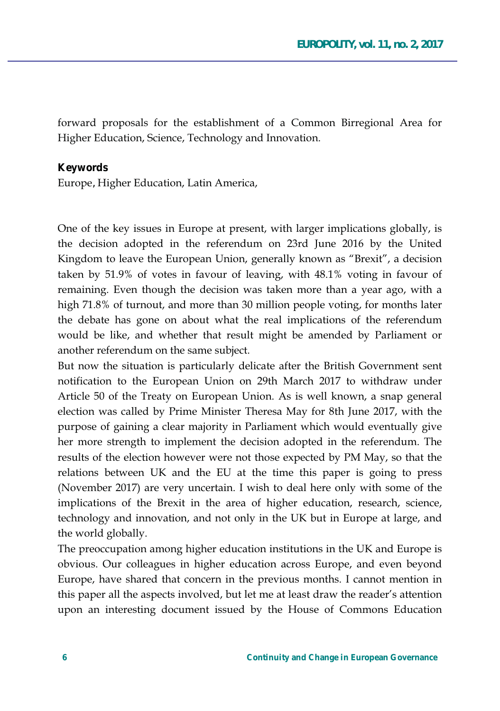forward proposals for the establishment of a Common Birregional Area for Higher Education, Science, Technology and Innovation.

## **Keywords**

Europe, Higher Education, Latin America,

One of the key issues in Europe at present, with larger implications globally, is the decision adopted in the referendum on 23rd June 2016 by the United Kingdom to leave the European Union, generally known as "Brexit", a decision taken by 51.9% of votes in favour of leaving, with  $48.1\%$  voting in favour of remaining. Even though the decision was taken more than a year ago, with a high 71.8% of turnout, and more than 30 million people voting, for months later the debate has gone on about what the real implications of the referendum would be like, and whether that result might be amended by Parliament or another referendum on the same subject.

But now the situation is particularly delicate after the British Government sent notification to the European Union on 29th March 2017 to withdraw under Article 50 of the Treaty on European Union. As is well known, a snap general election was called by Prime Minister Theresa May for 8th June 2017, with the purpose of gaining a clear majority in Parliament which would eventually give her more strength to implement the decision adopted in the referendum. The results of the election however were not those expected by PM May, so that the relations between UK and the EU at the time this paper is going to press (November 2017) are very uncertain. I wish to deal here only with some of the implications of the Brexit in the area of higher education, research, science, technology and innovation, and not only in the UK but in Europe at large, and the world globally.

The preoccupation among higher education institutions in the UK and Europe is obvious. Our colleagues in higher education across Europe, and even beyond Europe, have shared that concern in the previous months. I cannot mention in this paper all the aspects involved, but let me at least draw the reader's attention upon an interesting document issued by the House of Commons Education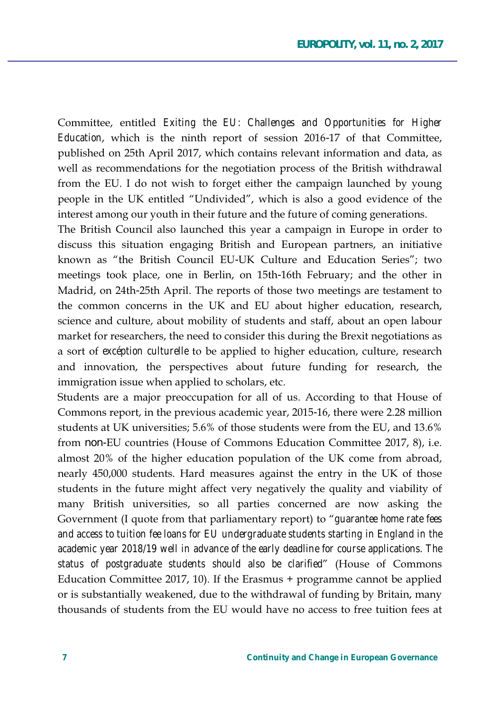Committee, entitled *Exiting the EU: Challenges and Opportunities for Higher Education*, which is the ninth report of session 2016-17 of that Committee, published on 25th April 2017, which contains relevant information and data, as well as recommendations for the negotiation process of the British withdrawal from the EU. I do not wish to forget either the campaign launched by young people in the UK entitled "Undivided", which is also a good evidence of the interest among our youth in their future and the future of coming generations.

The British Council also launched this year a campaign in Europe in order to discuss this situation engaging British and European partners, an initiative known as "the British Council EU-UK Culture and Education Series"; two meetings took place, one in Berlin, on 15th-16th February; and the other in Madrid, on 24th-25th April. The reports of those two meetings are testament to the common concerns in the UK and EU about higher education, research, science and culture, about mobility of students and staff, about an open labour market for researchers, the need to consider this during the Brexit negotiations as a sort of excéption culturelle to be applied to higher education, culture, research and innovation, the perspectives about future funding for research, the immigration issue when applied to scholars, etc.

Students are a major preoccupation for all of us. According to that House of Commons report, in the previous academic year, 2015-16, there were 2.28 million students at UK universities; 5.6% of those students were from the EU, and 13.6% from non-EU countries (House of Commons Education Committee 2017, 8), i.e. almost 20% of the higher education population of the UK come from abroad, nearly 450,000 students. Hard measures against the entry in the UK of those students in the future might affect very negatively the quality and viability of many British universities, so all parties concerned are now asking the Government (I quote from that parliamentary report) to "guarantee home rate fees *and access to tuition fee loans for EU undergraduate students starting in England in the academic year 2018/19 well in advance of the early deadline for course applications. The status of postgraduate students should also be clarified'* (House of Commons Education Committee 2017, 10). If the Erasmus  $+$  programme cannot be applied or is substantially weakened, due to the withdrawal of funding by Britain, many thousands of students from the EU would have no access to free tuition fees at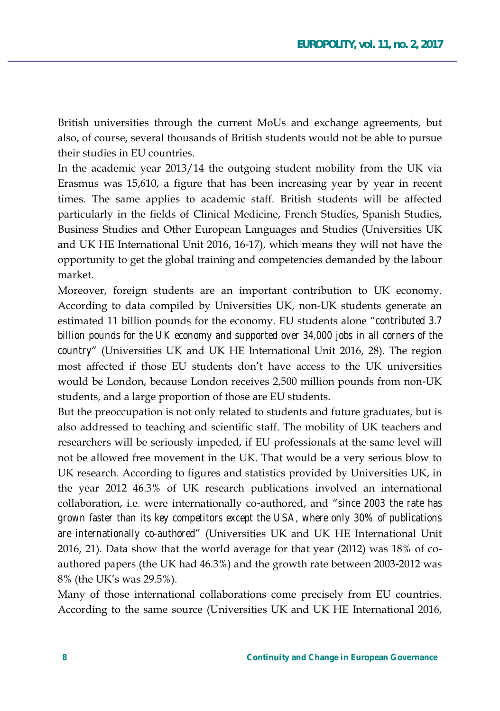British universities through the current MoUs and exchange agreements, but also, of course, several thousands of British students would not be able to pursue their studies in EU countries.

In the academic year 2013/14 the outgoing student mobility from the UK via Erasmus was 15,610, a figure that has been increasing year by year in recent times. The same applies to academic staff. British students will be affected particularly in the fields of Clinical Medicine, French Studies, Spanish Studies, Business Studies and Other European Languages and Studies (Universities UK and UK HE International Unit 2016, 16-17), which means they will not have the opportunity to get the global training and competencies demanded by the labour market.

Moreover, foreign students are an important contribution to UK economy. According to data compiled by Universities UK, non-UK students generate an estimated 11 billion pounds for the economy. EU students alone "contributed 3.7 billion pounds for the UK economy and supported over 34,000 jobs in all corners of the country' (Universities UK and UK HE International Unit 2016, 28). The region most affected if those EU students don't have access to the UK universities would be London, because London receives 2,500 million pounds from non-UK students, and a large proportion of those are EU students.

But the preoccupation is not only related to students and future graduates, but is also addressed to teaching and scientific staff. The mobility of UK teachers and researchers will be seriously impeded, if EU professionals at the same level will not be allowed free movement in the UK. That would be a very serious blow to UK research. According to figures and statistics provided by Universities UK, in the year 2012 46.3% of UK research publications involved an international collaboration, i.e. were internationally co-authored, and "since 2003 the rate has grown faster than its key competitors except the USA, where only 30% of publications are internationally co-authored' (Universities UK and UK HE International Unit 2016, 21). Data show that the world average for that year (2012) was 18% of coauthored papers (the UK had 46.3%) and the growth rate between 2003-2012 was 8% (the UK's was 29.5%).

Many of those international collaborations come precisely from EU countries. According to the same source (Universities UK and UK HE International 2016,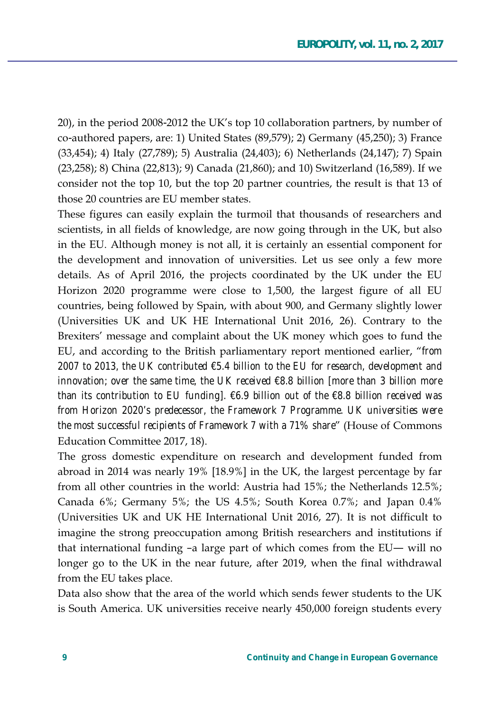20), in the period 2008-2012 the UK's top 10 collaboration partners, by number of co-authored papers, are: 1) United States (89,579); 2) Germany (45,250); 3) France (33,454); 4) Italy (27,789); 5) Australia (24,403); 6) Netherlands (24,147); 7) Spain (23,258); 8) China (22,813); 9) Canada (21,860); and 10) Switzerland (16,589). If we consider not the top 10, but the top 20 partner countries, the result is that 13 of those 20 countries are EU member states.

These figures can easily explain the turmoil that thousands of researchers and scientists, in all fields of knowledge, are now going through in the UK, but also in the EU. Although money is not all, it is certainly an essential component for the development and innovation of universities. Let us see only a few more details. As of April 2016, the projects coordinated by the UK under the EU Horizon 2020 programme were close to 1,500, the largest figure of all EU countries, being followed by Spain, with about 900, and Germany slightly lower (Universities UK and UK HE International Unit 2016, 26). Contrary to the Brexiters' message and complaint about the UK money which goes to fund the EU, and according to the British parliamentary report mentioned earlier, "from 2007 to 2013, the UK contributed  $\epsilon$ 5.4 billion to the EU for research, development and innovation; over the same time, the UK received  $\epsilon$ 8.8 billion [more than 3 billion more than its contribution to EU fundingl.  $\epsilon$ 6.9 billion out of the  $\epsilon$ 8.8 billion received was from Horizon 2020's predecessor, the Framework 7 Programme. UK universities were the most successful recipients of Framework 7 with a 71% share" (House of Commons Education Committee 2017, 18).

The gross domestic expenditure on research and development funded from abroad in 2014 was nearly 19% [18.9%] in the UK, the largest percentage by far from all other countries in the world: Austria had 15%; the Netherlands 12.5%; Canada 6%; Germany 5%; the US 4.5%; South Korea 0.7%; and Japan 0.4% (Universities UK and UK HE International Unit 2016, 27). It is not difficult to imagine the strong preoccupation among British researchers and institutions if that international funding -a large part of which comes from the EU— will no longer go to the UK in the near future, after 2019, when the final withdrawal from the EU takes place.

Data also show that the area of the world which sends fewer students to the UK is South America. UK universities receive nearly 450,000 foreign students every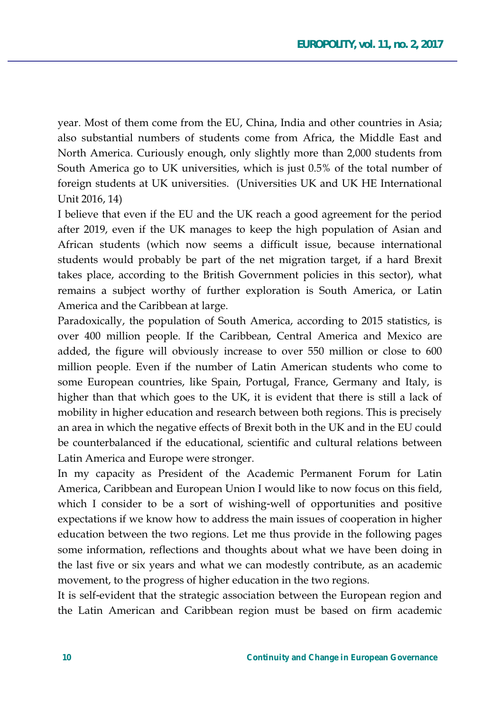year. Most of them come from the EU, China, India and other countries in Asia; also substantial numbers of students come from Africa, the Middle East and North America. Curiously enough, only slightly more than 2,000 students from South America go to UK universities, which is just 0.5% of the total number of foreign students at UK universities. (Universities UK and UK HE International Unit 2016, 14)

I believe that even if the EU and the UK reach a good agreement for the period after 2019, even if the UK manages to keep the high population of Asian and African students (which now seems a difficult issue, because international students would probably be part of the net migration target, if a hard Brexit takes place, according to the British Government policies in this sector), what remains a subject worthy of further exploration is South America, or Latin America and the Caribbean at large.

Paradoxically, the population of South America, according to 2015 statistics, is over 400 million people. If the Caribbean, Central America and Mexico are added, the figure will obviously increase to over 550 million or close to 600 million people. Even if the number of Latin American students who come to some European countries, like Spain, Portugal, France, Germany and Italy, is higher than that which goes to the UK, it is evident that there is still a lack of mobility in higher education and research between both regions. This is precisely an area in which the negative effects of Brexit both in the UK and in the EU could be counterbalanced if the educational, scientific and cultural relations between Latin America and Europe were stronger.

In my capacity as President of the Academic Permanent Forum for Latin America, Caribbean and European Union I would like to now focus on this field, which I consider to be a sort of wishing-well of opportunities and positive expectations if we know how to address the main issues of cooperation in higher education between the two regions. Let me thus provide in the following pages some information, reflections and thoughts about what we have been doing in the last five or six years and what we can modestly contribute, as an academic movement, to the progress of higher education in the two regions.

It is self-evident that the strategic association between the European region and the Latin American and Caribbean region must be based on firm academic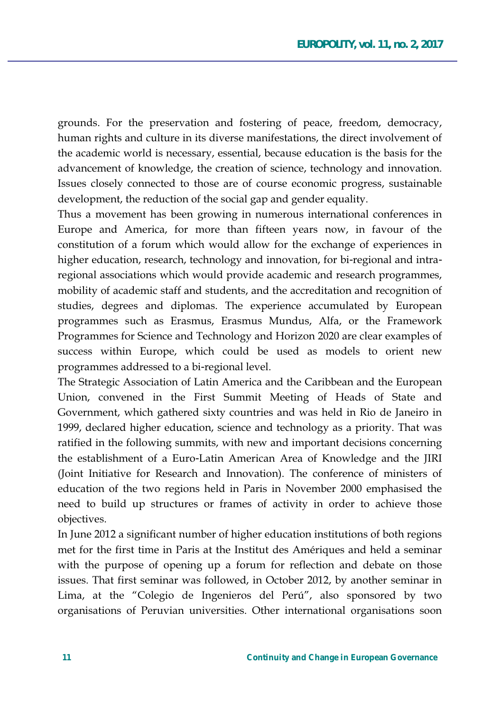grounds. For the preservation and fostering of peace, freedom, democracy, human rights and culture in its diverse manifestations, the direct involvement of the academic world is necessary, essential, because education is the basis for the advancement of knowledge, the creation of science, technology and innovation. Issues closely connected to those are of course economic progress, sustainable development, the reduction of the social gap and gender equality.

Thus a movement has been growing in numerous international conferences in Europe and America, for more than fifteen years now, in favour of the constitution of a forum which would allow for the exchange of experiences in higher education, research, technology and innovation, for bi-regional and intraregional associations which would provide academic and research programmes, mobility of academic staff and students, and the accreditation and recognition of studies, degrees and diplomas. The experience accumulated by European programmes such as Erasmus, Erasmus Mundus, Alfa, or the Framework Programmes for Science and Technology and Horizon 2020 are clear examples of success within Europe, which could be used as models to orient new programmes addressed to a bi-regional level.

The Strategic Association of Latin America and the Caribbean and the European Union, convened in the First Summit Meeting of Heads of State and Government, which gathered sixty countries and was held in Rio de Janeiro in 1999, declared higher education, science and technology as a priority. That was ratified in the following summits, with new and important decisions concerning the establishment of a Euro-Latin American Area of Knowledge and the JIRI (Joint Initiative for Research and Innovation). The conference of ministers of education of the two regions held in Paris in November 2000 emphasised the need to build up structures or frames of activity in order to achieve those objectives.

In June 2012 a significant number of higher education institutions of both regions met for the first time in Paris at the Institut des Amériques and held a seminar with the purpose of opening up a forum for reflection and debate on those issues. That first seminar was followed, in October 2012, by another seminar in Lima, at the "Colegio de Ingenieros del Perú", also sponsored by two organisations of Peruvian universities. Other international organisations soon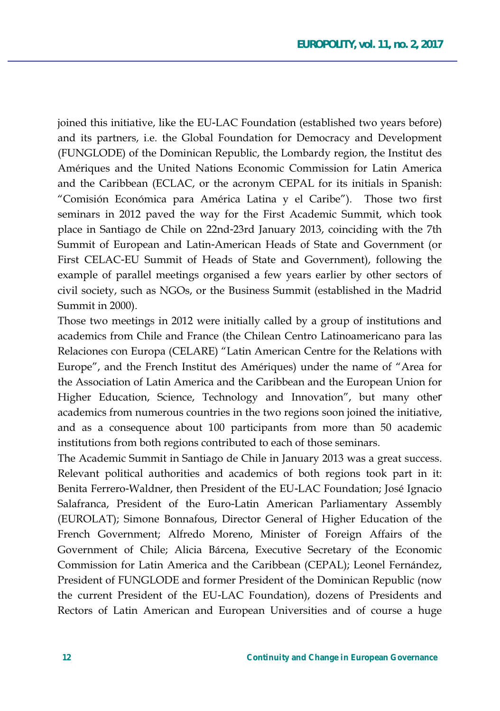joined this initiative, like the EU-LAC Foundation (established two years before) and its partners, i.e. the Global Foundation for Democracy and Development (FUNGLODE) of the Dominican Republic, the Lombardy region, the Institut des Amériques and the United Nations Economic Commission for Latin America and the Caribbean (ECLAC, or the acronym CEPAL for its initials in Spanish: "Comisión Económica para América Latina y el Caribe"). Those two first seminars in 2012 paved the way for the First Academic Summit, which took place in Santiago de Chile on 22nd-23rd January 2013, coinciding with the 7th Summit of European and Latin-American Heads of State and Government (or First CELAC-EU Summit of Heads of State and Government), following the example of parallel meetings organised a few years earlier by other sectors of civil society, such as NGOs, or the Business Summit (established in the Madrid Summit in 2000).

Those two meetings in 2012 were initially called by a group of institutions and academics from Chile and France (the Chilean Centro Latinoamericano para las Relaciones con Europa (CELARE) "Latin American Centre for the Relations with Europe", and the French Institut des Amériques) under the name of "Area for the Association of Latin America and the Caribbean and the European Union for Higher Education, Science, Technology and Innovation", but many other academics from numerous countries in the two regions soon joined the initiative, and as a consequence about 100 participants from more than 50 academic institutions from both regions contributed to each of those seminars.

The Academic Summit in Santiago de Chile in January 2013 was a great success. Relevant political authorities and academics of both regions took part in it: Benita Ferrero-Waldner, then President of the EU-LAC Foundation; José Ignacio Salafranca, President of the Euro-Latin American Parliamentary Assembly (EUROLAT); Simone Bonnafous, Director General of Higher Education of the French Government; Alfredo Moreno, Minister of Foreign Affairs of the Government of Chile; Alicia Bárcena, Executive Secretary of the Economic Commission for Latin America and the Caribbean (CEPAL); Leonel Fernández, President of FUNGLODE and former President of the Dominican Republic (now the current President of the EU-LAC Foundation), dozens of Presidents and Rectors of Latin American and European Universities and of course a huge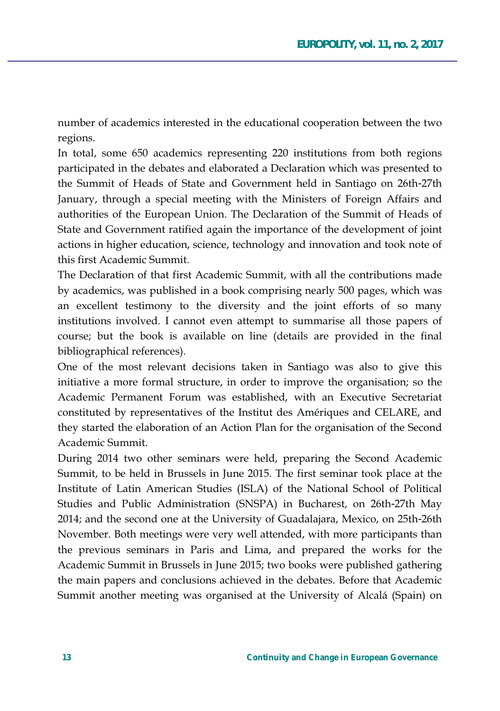number of academics interested in the educational cooperation between the two regions.

In total, some 650 academics representing 220 institutions from both regions participated in the debates and elaborated a Declaration which was presented to the Summit of Heads of State and Government held in Santiago on 26th-27th January, through a special meeting with the Ministers of Foreign Affairs and authorities of the European Union. The Declaration of the Summit of Heads of State and Government ratified again the importance of the development of joint actions in higher education, science, technology and innovation and took note of this first Academic Summit

The Declaration of that first Academic Summit, with all the contributions made by academics, was published in a book comprising nearly 500 pages, which was an excellent testimony to the diversity and the joint efforts of so many institutions involved. I cannot even attempt to summarise all those papers of course; but the book is available on line (details are provided in the final bibliographical references).

One of the most relevant decisions taken in Santiago was also to give this initiative a more formal structure, in order to improve the organisation; so the Academic Permanent Forum was established, with an Executive Secretariat constituted by representatives of the Institut des Amériques and CELARE, and they started the elaboration of an Action Plan for the organisation of the Second Academic Summit.

During 2014 two other seminars were held, preparing the Second Academic Summit, to be held in Brussels in June 2015. The first seminar took place at the Institute of Latin American Studies (ISLA) of the National School of Political Studies and Public Administration (SNSPA) in Bucharest, on 26th-27th May 2014; and the second one at the University of Guadalajara, Mexico, on 25th-26th November. Both meetings were very well attended, with more participants than the previous seminars in Paris and Lima, and prepared the works for the Academic Summit in Brussels in June 2015; two books were published gathering the main papers and conclusions achieved in the debates. Before that Academic Summit another meeting was organised at the University of Alcalá (Spain) on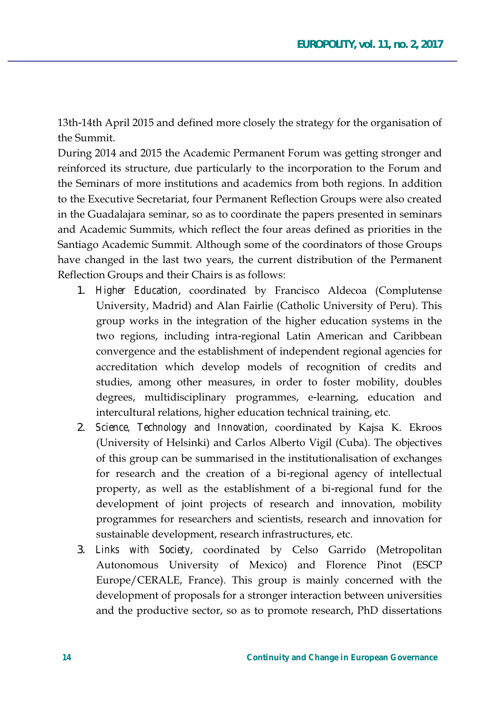13th-14th April 2015 and defined more closely the strategy for the organisation of  $the Summit$ 

During 2014 and 2015 the Academic Permanent Forum was getting stronger and reinforced its structure, due particularly to the incorporation to the Forum and the Seminars of more institutions and academics from both regions. In addition to the Executive Secretariat, four Permanent Reflection Groups were also created in the Guadalajara seminar, so as to coordinate the papers presented in seminars and Academic Summits, which reflect the four areas defined as priorities in the Santiago Academic Summit. Although some of the coordinators of those Groups have changed in the last two years, the current distribution of the Permanent Reflection Groups and their Chairs is as follows:

- 1. *Higher Education*, coordinated by Francisco Aldecoa (Complutense University, Madrid) and Alan Fairlie (Catholic University of Peru). This group works in the integration of the higher education systems in the two regions, including intra-regional Latin American and Caribbean convergence and the establishment of independent regional agencies for accreditation which develop models of recognition of credits and studies, among other measures, in order to foster mobility, doubles degrees, multidisciplinary programmes, e-learning, education and intercultural relations, higher education technical training, etc.
- 2. *Science, Technology and Innovation,* coordinated by Kajsa K. Ekroos (University of Helsinki) and Carlos Alberto Vigil (Cuba). The objectives of this group can be summarised in the institutionalisation of exchanges for research and the creation of a bi-regional agency of intellectual property, as well as the establishment of a bi-regional fund for the development of joint projects of research and innovation, mobility programmes for researchers and scientists, research and innovation for sustainable development, research infrastructures, etc.
- 3. Links with Society, coordinated by Celso Garrido (Metropolitan Autonomous University of Mexico) and Florence Pinot (ESCP Europe/CERALE, France). This group is mainly concerned with the development of proposals for a stronger interaction between universities and the productive sector, so as to promote research, PhD dissertations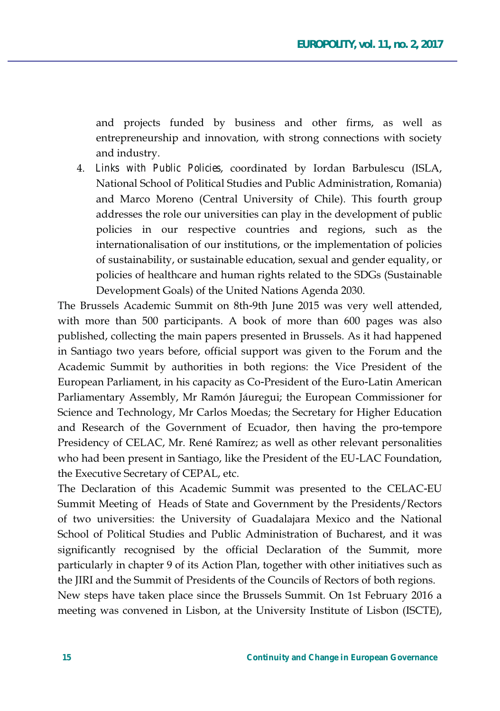and projects funded by business and other firms, as well as entrepreneurship and innovation, with strong connections with society and industry.

4. Links with Public Policies, coordinated by Iordan Barbulescu (ISLA, National School of Political Studies and Public Administration, Romania) and Marco Moreno (Central University of Chile). This fourth group addresses the role our universities can play in the development of public policies in our respective countries and regions, such as the internationalisation of our institutions, or the implementation of policies of sustainability, or sustainable education, sexual and gender equality, or policies of healthcare and human rights related to the SDGs (Sustainable Development Goals) of the United Nations Agenda 2030.

The Brussels Academic Summit on 8th-9th June 2015 was very well attended, with more than 500 participants. A book of more than 600 pages was also published, collecting the main papers presented in Brussels. As it had happened in Santiago two years before, official support was given to the Forum and the Academic Summit by authorities in both regions: the Vice President of the European Parliament, in his capacity as Co-President of the Euro-Latin American Parliamentary Assembly, Mr Ramón Jáuregui; the European Commissioner for Science and Technology, Mr Carlos Moedas; the Secretary for Higher Education and Research of the Government of Ecuador, then having the pro-tempore Presidency of CELAC, Mr. René Ramírez; as well as other relevant personalities who had been present in Santiago, like the President of the EU-LAC Foundation, the Executive Secretary of CEPAL, etc.

The Declaration of this Academic Summit was presented to the CELAC-EU Summit Meeting of Heads of State and Government by the Presidents/Rectors of two universities: the University of Guadalajara Mexico and the National School of Political Studies and Public Administration of Bucharest, and it was significantly recognised by the official Declaration of the Summit, more particularly in chapter 9 of its Action Plan, together with other initiatives such as the JIRI and the Summit of Presidents of the Councils of Rectors of both regions.

New steps have taken place since the Brussels Summit. On 1st February 2016 a meeting was convened in Lisbon, at the University Institute of Lisbon (ISCTE),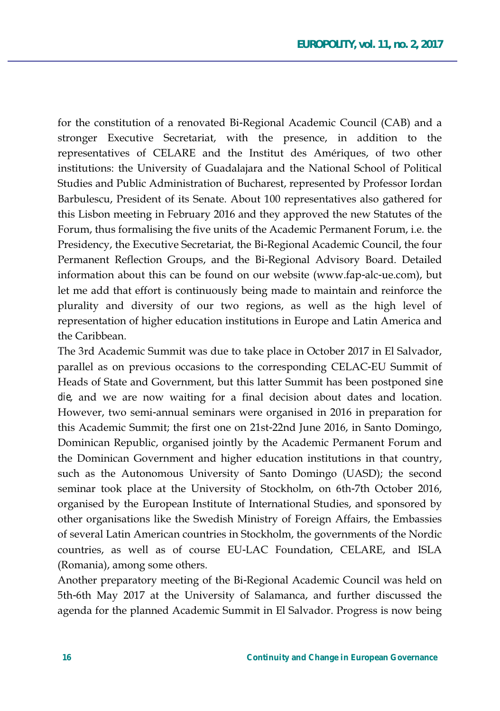for the constitution of a renovated Bi-Regional Academic Council (CAB) and a stronger Executive Secretariat, with the presence, in addition to the representatives of CELARE and the Institut des Amériques, of two other institutions: the University of Guadalajara and the National School of Political Studies and Public Administration of Bucharest, represented by Professor Iordan Barbulescu, President of its Senate. About 100 representatives also gathered for this Lisbon meeting in February 2016 and they approved the new Statutes of the Forum, thus formalising the five units of the Academic Permanent Forum, i.e. the Presidency, the Executive Secretariat, the Bi-Regional Academic Council, the four Permanent Reflection Groups, and the Bi-Regional Advisory Board. Detailed information about this can be found on our website (www.fap-alc-ue.com), but let me add that effort is continuously being made to maintain and reinforce the plurality and diversity of our two regions, as well as the high level of representation of higher education institutions in Europe and Latin America and the Caribbean.

The 3rd Academic Summit was due to take place in October 2017 in El Salvador, parallel as on previous occasions to the corresponding CELAC-EU Summit of Heads of State and Government, but this latter Summit has been postponed sine *die*, and we are now waiting for a final decision about dates and location. However, two semi-annual seminars were organised in 2016 in preparation for this Academic Summit; the first one on 21st-22nd June 2016, in Santo Domingo, Dominican Republic, organised jointly by the Academic Permanent Forum and the Dominican Government and higher education institutions in that country, such as the Autonomous University of Santo Domingo (UASD); the second seminar took place at the University of Stockholm, on 6th-7th October 2016, organised by the European Institute of International Studies, and sponsored by other organisations like the Swedish Ministry of Foreign Affairs, the Embassies of several Latin American countries in Stockholm, the governments of the Nordic countries, as well as of course EU-LAC Foundation, CELARE, and ISLA (Romania), among some others.

Another preparatory meeting of the Bi-Regional Academic Council was held on 5th-6th May 2017 at the University of Salamanca, and further discussed the agenda for the planned Academic Summit in El Salvador. Progress is now being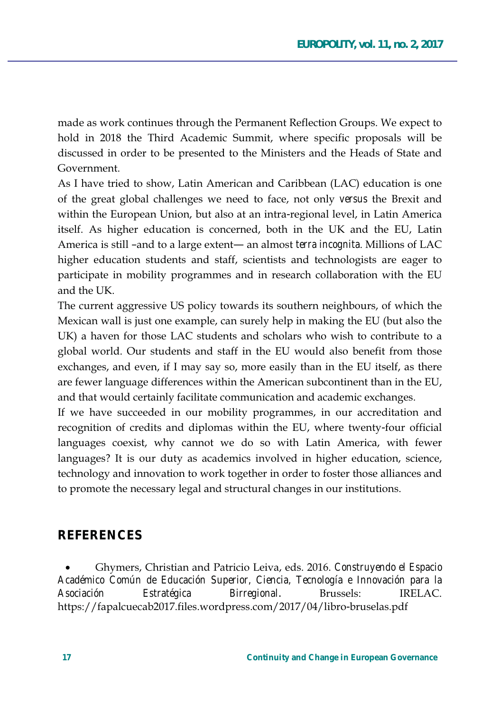made as work continues through the Permanent Reflection Groups. We expect to hold in 2018 the Third Academic Summit, where specific proposals will be discussed in order to be presented to the Ministers and the Heads of State and Government

As I have tried to show, Latin American and Caribbean (LAC) education is one of the great global challenges we need to face, not only *versus* the Brexit and within the European Union, but also at an intra-regional level, in Latin America itself. As higher education is concerned, both in the UK and the EU, Latin America is still -and to a large extent— an almost *terra incognita*. Millions of LAC higher education students and staff, scientists and technologists are eager to participate in mobility programmes and in research collaboration with the EU and the UK.

The current aggressive US policy towards its southern neighbours, of which the Mexican wall is just one example, can surely help in making the EU (but also the UK) a haven for those LAC students and scholars who wish to contribute to a global world. Our students and staff in the EU would also benefit from those exchanges, and even, if I may say so, more easily than in the EU itself, as there are fewer language differences within the American subcontinent than in the EU, and that would certainly facilitate communication and academic exchanges.

If we have succeeded in our mobility programmes, in our accreditation and recognition of credits and diplomas within the EU, where twenty-four official languages coexist, why cannot we do so with Latin America, with fewer languages? It is our duty as academics involved in higher education, science, technology and innovation to work together in order to foster those alliances and to promote the necessary legal and structural changes in our institutions.

## **REFERENCES**

Ghymers, Christian and Patricio Leiva, eds. 2016. Construyendo el Espacio Académico Común de Educación Superior, Ciencia, Tecnología e Innovación para la Asociación Estratégica Birregional. Brussels: **IRELAC.** https://fapalcuecab2017.files.wordpress.com/2017/04/libro-bruselas.pdf